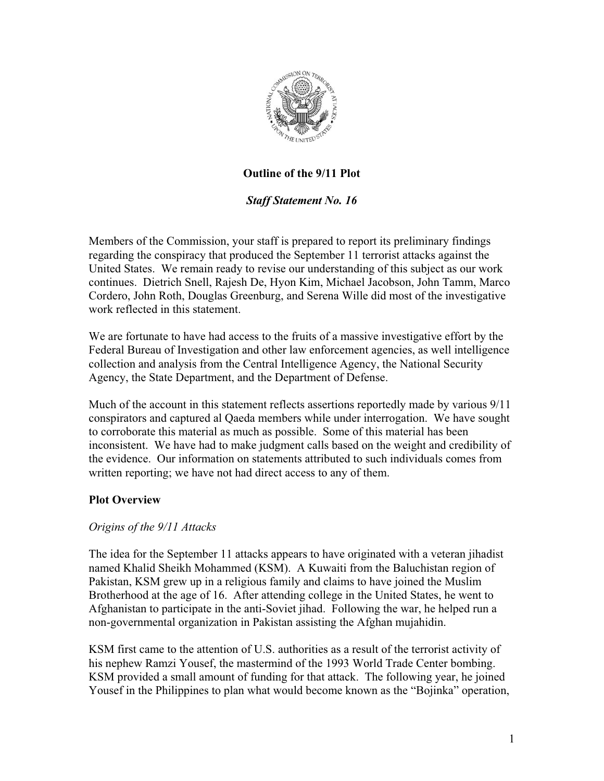

# **Outline of the 9/11 Plot**

## *Staff Statement No. 16*

Members of the Commission, your staff is prepared to report its preliminary findings regarding the conspiracy that produced the September 11 terrorist attacks against the United States. We remain ready to revise our understanding of this subject as our work continues. Dietrich Snell, Rajesh De, Hyon Kim, Michael Jacobson, John Tamm, Marco Cordero, John Roth, Douglas Greenburg, and Serena Wille did most of the investigative work reflected in this statement.

We are fortunate to have had access to the fruits of a massive investigative effort by the Federal Bureau of Investigation and other law enforcement agencies, as well intelligence collection and analysis from the Central Intelligence Agency, the National Security Agency, the State Department, and the Department of Defense.

Much of the account in this statement reflects assertions reportedly made by various 9/11 conspirators and captured al Qaeda members while under interrogation. We have sought to corroborate this material as much as possible. Some of this material has been inconsistent. We have had to make judgment calls based on the weight and credibility of the evidence. Our information on statements attributed to such individuals comes from written reporting; we have not had direct access to any of them.

### **Plot Overview**

### *Origins of the 9/11 Attacks*

The idea for the September 11 attacks appears to have originated with a veteran jihadist named Khalid Sheikh Mohammed (KSM). A Kuwaiti from the Baluchistan region of Pakistan, KSM grew up in a religious family and claims to have joined the Muslim Brotherhood at the age of 16. After attending college in the United States, he went to Afghanistan to participate in the anti-Soviet jihad. Following the war, he helped run a non-governmental organization in Pakistan assisting the Afghan mujahidin.

KSM first came to the attention of U.S. authorities as a result of the terrorist activity of his nephew Ramzi Yousef, the mastermind of the 1993 World Trade Center bombing. KSM provided a small amount of funding for that attack. The following year, he joined Yousef in the Philippines to plan what would become known as the "Bojinka" operation,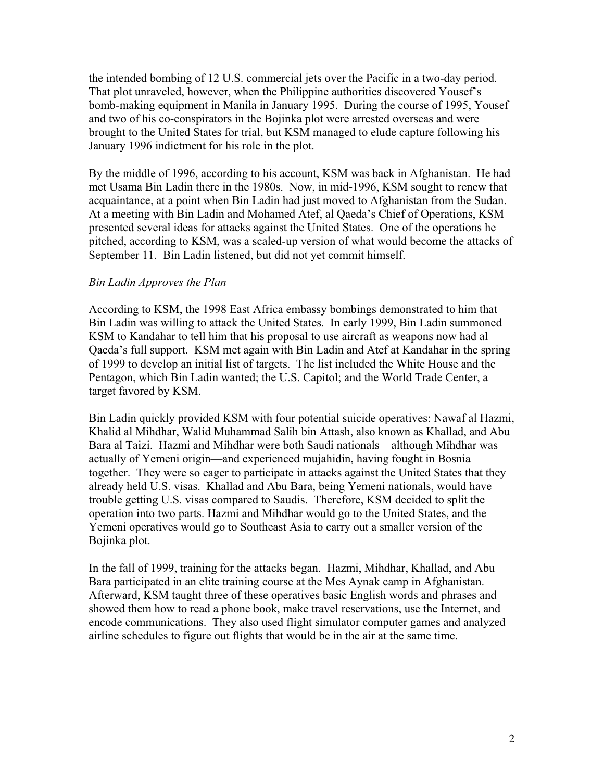the intended bombing of 12 U.S. commercial jets over the Pacific in a two-day period. That plot unraveled, however, when the Philippine authorities discovered Yousef's bomb-making equipment in Manila in January 1995. During the course of 1995, Yousef and two of his co-conspirators in the Bojinka plot were arrested overseas and were brought to the United States for trial, but KSM managed to elude capture following his January 1996 indictment for his role in the plot.

By the middle of 1996, according to his account, KSM was back in Afghanistan. He had met Usama Bin Ladin there in the 1980s. Now, in mid-1996, KSM sought to renew that acquaintance, at a point when Bin Ladin had just moved to Afghanistan from the Sudan. At a meeting with Bin Ladin and Mohamed Atef, al Qaeda's Chief of Operations, KSM presented several ideas for attacks against the United States. One of the operations he pitched, according to KSM, was a scaled-up version of what would become the attacks of September 11. Bin Ladin listened, but did not yet commit himself.

#### *Bin Ladin Approves the Plan*

According to KSM, the 1998 East Africa embassy bombings demonstrated to him that Bin Ladin was willing to attack the United States. In early 1999, Bin Ladin summoned KSM to Kandahar to tell him that his proposal to use aircraft as weapons now had al Qaeda's full support. KSM met again with Bin Ladin and Atef at Kandahar in the spring of 1999 to develop an initial list of targets. The list included the White House and the Pentagon, which Bin Ladin wanted; the U.S. Capitol; and the World Trade Center, a target favored by KSM.

Bin Ladin quickly provided KSM with four potential suicide operatives: Nawaf al Hazmi, Khalid al Mihdhar, Walid Muhammad Salih bin Attash, also known as Khallad, and Abu Bara al Taizi. Hazmi and Mihdhar were both Saudi nationals—although Mihdhar was actually of Yemeni origin—and experienced mujahidin, having fought in Bosnia together. They were so eager to participate in attacks against the United States that they already held U.S. visas. Khallad and Abu Bara, being Yemeni nationals, would have trouble getting U.S. visas compared to Saudis. Therefore, KSM decided to split the operation into two parts. Hazmi and Mihdhar would go to the United States, and the Yemeni operatives would go to Southeast Asia to carry out a smaller version of the Bojinka plot.

In the fall of 1999, training for the attacks began. Hazmi, Mihdhar, Khallad, and Abu Bara participated in an elite training course at the Mes Aynak camp in Afghanistan. Afterward, KSM taught three of these operatives basic English words and phrases and showed them how to read a phone book, make travel reservations, use the Internet, and encode communications. They also used flight simulator computer games and analyzed airline schedules to figure out flights that would be in the air at the same time.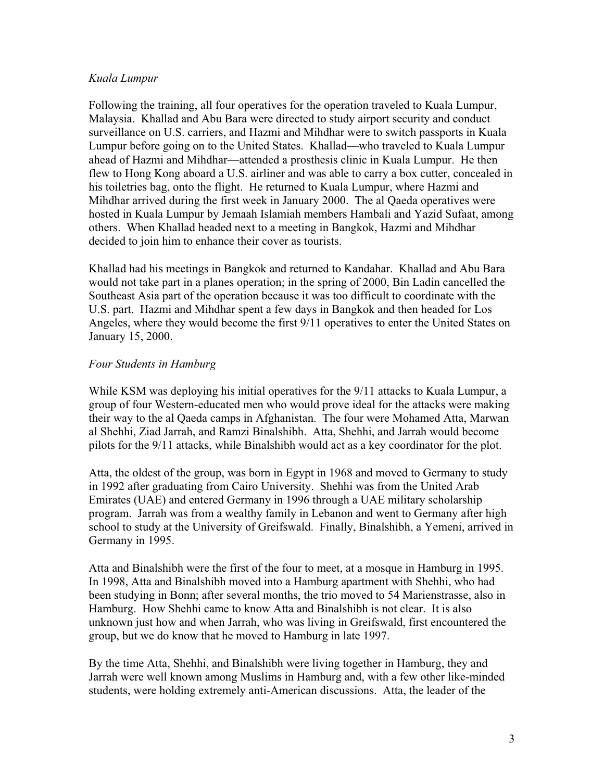### *Kuala Lumpur*

Following the training, all four operatives for the operation traveled to Kuala Lumpur, Malaysia. Khallad and Abu Bara were directed to study airport security and conduct surveillance on U.S. carriers, and Hazmi and Mihdhar were to switch passports in Kuala Lumpur before going on to the United States. Khallad—who traveled to Kuala Lumpur ahead of Hazmi and Mihdhar—attended a prosthesis clinic in Kuala Lumpur. He then flew to Hong Kong aboard a U.S. airliner and was able to carry a box cutter, concealed in his toiletries bag, onto the flight. He returned to Kuala Lumpur, where Hazmi and Mihdhar arrived during the first week in January 2000. The al Qaeda operatives were hosted in Kuala Lumpur by Jemaah Islamiah members Hambali and Yazid Sufaat, among others. When Khallad headed next to a meeting in Bangkok, Hazmi and Mihdhar decided to join him to enhance their cover as tourists.

Khallad had his meetings in Bangkok and returned to Kandahar. Khallad and Abu Bara would not take part in a planes operation; in the spring of 2000, Bin Ladin cancelled the Southeast Asia part of the operation because it was too difficult to coordinate with the U.S. part. Hazmi and Mihdhar spent a few days in Bangkok and then headed for Los Angeles, where they would become the first 9/11 operatives to enter the United States on January 15, 2000.

## *Four Students in Hamburg*

While KSM was deploying his initial operatives for the 9/11 attacks to Kuala Lumpur, a group of four Western-educated men who would prove ideal for the attacks were making their way to the al Qaeda camps in Afghanistan. The four were Mohamed Atta, Marwan al Shehhi, Ziad Jarrah, and Ramzi Binalshibh. Atta, Shehhi, and Jarrah would become pilots for the 9/11 attacks, while Binalshibh would act as a key coordinator for the plot.

Atta, the oldest of the group, was born in Egypt in 1968 and moved to Germany to study in 1992 after graduating from Cairo University. Shehhi was from the United Arab Emirates (UAE) and entered Germany in 1996 through a UAE military scholarship program. Jarrah was from a wealthy family in Lebanon and went to Germany after high school to study at the University of Greifswald. Finally, Binalshibh, a Yemeni, arrived in Germany in 1995.

Atta and Binalshibh were the first of the four to meet, at a mosque in Hamburg in 1995. In 1998, Atta and Binalshibh moved into a Hamburg apartment with Shehhi, who had been studying in Bonn; after several months, the trio moved to 54 Marienstrasse, also in Hamburg. How Shehhi came to know Atta and Binalshibh is not clear. It is also unknown just how and when Jarrah, who was living in Greifswald, first encountered the group, but we do know that he moved to Hamburg in late 1997.

By the time Atta, Shehhi, and Binalshibh were living together in Hamburg, they and Jarrah were well known among Muslims in Hamburg and, with a few other like-minded students, were holding extremely anti-American discussions. Atta, the leader of the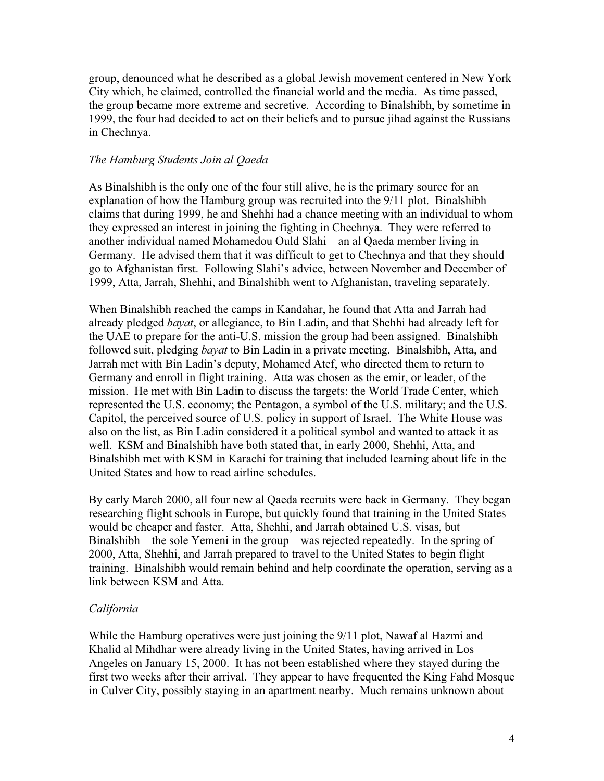group, denounced what he described as a global Jewish movement centered in New York City which, he claimed, controlled the financial world and the media. As time passed, the group became more extreme and secretive. According to Binalshibh, by sometime in 1999, the four had decided to act on their beliefs and to pursue jihad against the Russians in Chechnya.

#### *The Hamburg Students Join al Qaeda*

As Binalshibh is the only one of the four still alive, he is the primary source for an explanation of how the Hamburg group was recruited into the 9/11 plot. Binalshibh claims that during 1999, he and Shehhi had a chance meeting with an individual to whom they expressed an interest in joining the fighting in Chechnya. They were referred to another individual named Mohamedou Ould Slahi—an al Qaeda member living in Germany. He advised them that it was difficult to get to Chechnya and that they should go to Afghanistan first. Following Slahi's advice, between November and December of 1999, Atta, Jarrah, Shehhi, and Binalshibh went to Afghanistan, traveling separately.

When Binalshibh reached the camps in Kandahar, he found that Atta and Jarrah had already pledged *bayat*, or allegiance, to Bin Ladin, and that Shehhi had already left for the UAE to prepare for the anti-U.S. mission the group had been assigned. Binalshibh followed suit, pledging *bayat* to Bin Ladin in a private meeting. Binalshibh, Atta, and Jarrah met with Bin Ladin's deputy, Mohamed Atef, who directed them to return to Germany and enroll in flight training. Atta was chosen as the emir, or leader, of the mission. He met with Bin Ladin to discuss the targets: the World Trade Center, which represented the U.S. economy; the Pentagon, a symbol of the U.S. military; and the U.S. Capitol, the perceived source of U.S. policy in support of Israel. The White House was also on the list, as Bin Ladin considered it a political symbol and wanted to attack it as well. KSM and Binalshibh have both stated that, in early 2000, Shehhi, Atta, and Binalshibh met with KSM in Karachi for training that included learning about life in the United States and how to read airline schedules.

By early March 2000, all four new al Qaeda recruits were back in Germany. They began researching flight schools in Europe, but quickly found that training in the United States would be cheaper and faster. Atta, Shehhi, and Jarrah obtained U.S. visas, but Binalshibh—the sole Yemeni in the group—was rejected repeatedly. In the spring of 2000, Atta, Shehhi, and Jarrah prepared to travel to the United States to begin flight training. Binalshibh would remain behind and help coordinate the operation, serving as a link between KSM and Atta.

#### *California*

While the Hamburg operatives were just joining the 9/11 plot, Nawaf al Hazmi and Khalid al Mihdhar were already living in the United States, having arrived in Los Angeles on January 15, 2000. It has not been established where they stayed during the first two weeks after their arrival. They appear to have frequented the King Fahd Mosque in Culver City, possibly staying in an apartment nearby. Much remains unknown about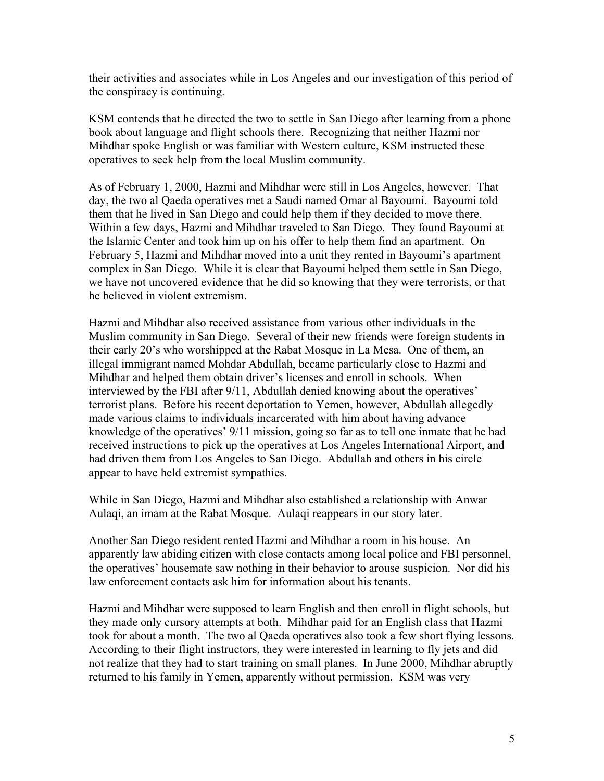their activities and associates while in Los Angeles and our investigation of this period of the conspiracy is continuing.

KSM contends that he directed the two to settle in San Diego after learning from a phone book about language and flight schools there. Recognizing that neither Hazmi nor Mihdhar spoke English or was familiar with Western culture, KSM instructed these operatives to seek help from the local Muslim community.

As of February 1, 2000, Hazmi and Mihdhar were still in Los Angeles, however. That day, the two al Qaeda operatives met a Saudi named Omar al Bayoumi. Bayoumi told them that he lived in San Diego and could help them if they decided to move there. Within a few days, Hazmi and Mihdhar traveled to San Diego. They found Bayoumi at the Islamic Center and took him up on his offer to help them find an apartment. On February 5, Hazmi and Mihdhar moved into a unit they rented in Bayoumi's apartment complex in San Diego. While it is clear that Bayoumi helped them settle in San Diego, we have not uncovered evidence that he did so knowing that they were terrorists, or that he believed in violent extremism.

Hazmi and Mihdhar also received assistance from various other individuals in the Muslim community in San Diego. Several of their new friends were foreign students in their early 20's who worshipped at the Rabat Mosque in La Mesa. One of them, an illegal immigrant named Mohdar Abdullah, became particularly close to Hazmi and Mihdhar and helped them obtain driver's licenses and enroll in schools. When interviewed by the FBI after 9/11, Abdullah denied knowing about the operatives' terrorist plans. Before his recent deportation to Yemen, however, Abdullah allegedly made various claims to individuals incarcerated with him about having advance knowledge of the operatives' 9/11 mission, going so far as to tell one inmate that he had received instructions to pick up the operatives at Los Angeles International Airport, and had driven them from Los Angeles to San Diego. Abdullah and others in his circle appear to have held extremist sympathies.

While in San Diego, Hazmi and Mihdhar also established a relationship with Anwar Aulaqi, an imam at the Rabat Mosque. Aulaqi reappears in our story later.

Another San Diego resident rented Hazmi and Mihdhar a room in his house. An apparently law abiding citizen with close contacts among local police and FBI personnel, the operatives' housemate saw nothing in their behavior to arouse suspicion. Nor did his law enforcement contacts ask him for information about his tenants.

Hazmi and Mihdhar were supposed to learn English and then enroll in flight schools, but they made only cursory attempts at both. Mihdhar paid for an English class that Hazmi took for about a month. The two al Qaeda operatives also took a few short flying lessons. According to their flight instructors, they were interested in learning to fly jets and did not realize that they had to start training on small planes. In June 2000, Mihdhar abruptly returned to his family in Yemen, apparently without permission. KSM was very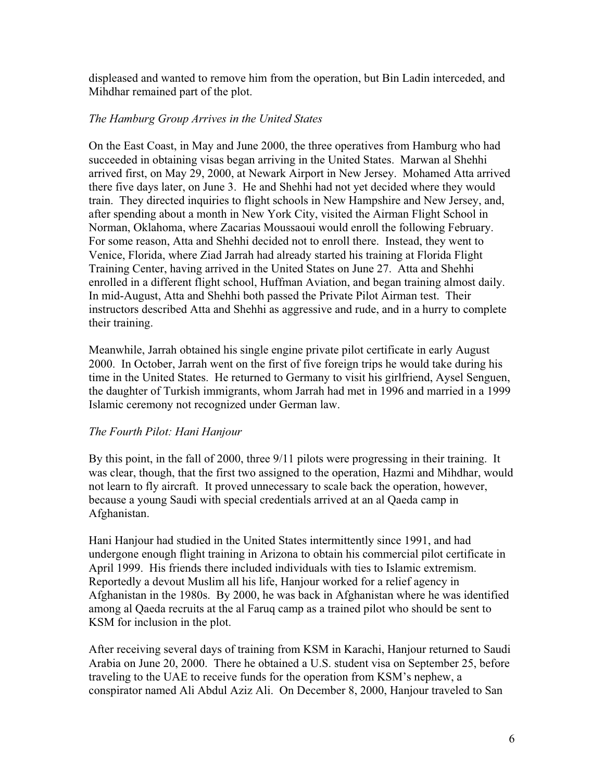displeased and wanted to remove him from the operation, but Bin Ladin interceded, and Mihdhar remained part of the plot.

## *The Hamburg Group Arrives in the United States*

On the East Coast, in May and June 2000, the three operatives from Hamburg who had succeeded in obtaining visas began arriving in the United States. Marwan al Shehhi arrived first, on May 29, 2000, at Newark Airport in New Jersey. Mohamed Atta arrived there five days later, on June 3. He and Shehhi had not yet decided where they would train. They directed inquiries to flight schools in New Hampshire and New Jersey, and, after spending about a month in New York City, visited the Airman Flight School in Norman, Oklahoma, where Zacarias Moussaoui would enroll the following February. For some reason, Atta and Shehhi decided not to enroll there. Instead, they went to Venice, Florida, where Ziad Jarrah had already started his training at Florida Flight Training Center, having arrived in the United States on June 27. Atta and Shehhi enrolled in a different flight school, Huffman Aviation, and began training almost daily. In mid-August, Atta and Shehhi both passed the Private Pilot Airman test. Their instructors described Atta and Shehhi as aggressive and rude, and in a hurry to complete their training.

Meanwhile, Jarrah obtained his single engine private pilot certificate in early August 2000. In October, Jarrah went on the first of five foreign trips he would take during his time in the United States. He returned to Germany to visit his girlfriend, Aysel Senguen, the daughter of Turkish immigrants, whom Jarrah had met in 1996 and married in a 1999 Islamic ceremony not recognized under German law.

# *The Fourth Pilot: Hani Hanjour*

By this point, in the fall of 2000, three 9/11 pilots were progressing in their training. It was clear, though, that the first two assigned to the operation, Hazmi and Mihdhar, would not learn to fly aircraft. It proved unnecessary to scale back the operation, however, because a young Saudi with special credentials arrived at an al Qaeda camp in Afghanistan.

Hani Hanjour had studied in the United States intermittently since 1991, and had undergone enough flight training in Arizona to obtain his commercial pilot certificate in April 1999. His friends there included individuals with ties to Islamic extremism. Reportedly a devout Muslim all his life, Hanjour worked for a relief agency in Afghanistan in the 1980s. By 2000, he was back in Afghanistan where he was identified among al Qaeda recruits at the al Faruq camp as a trained pilot who should be sent to KSM for inclusion in the plot.

After receiving several days of training from KSM in Karachi, Hanjour returned to Saudi Arabia on June 20, 2000. There he obtained a U.S. student visa on September 25, before traveling to the UAE to receive funds for the operation from KSM's nephew, a conspirator named Ali Abdul Aziz Ali. On December 8, 2000, Hanjour traveled to San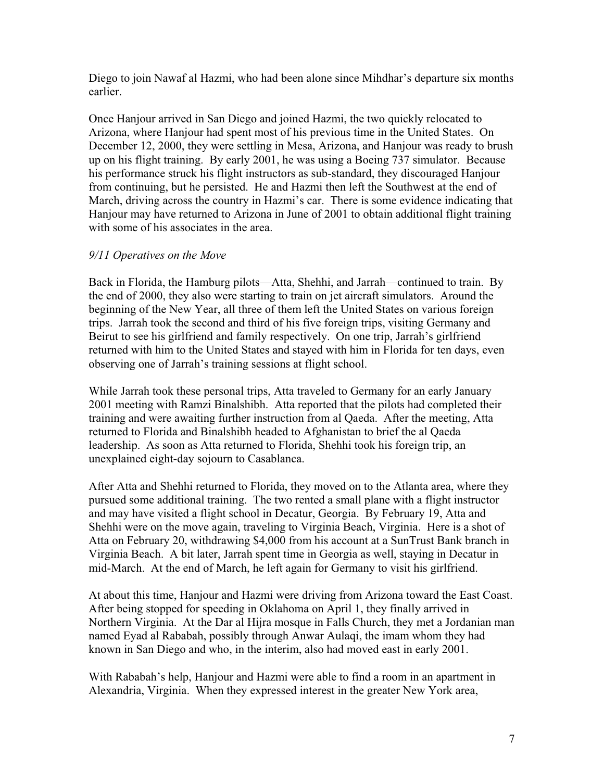Diego to join Nawaf al Hazmi, who had been alone since Mihdhar's departure six months earlier.

Once Hanjour arrived in San Diego and joined Hazmi, the two quickly relocated to Arizona, where Hanjour had spent most of his previous time in the United States. On December 12, 2000, they were settling in Mesa, Arizona, and Hanjour was ready to brush up on his flight training. By early 2001, he was using a Boeing 737 simulator. Because his performance struck his flight instructors as sub-standard, they discouraged Hanjour from continuing, but he persisted. He and Hazmi then left the Southwest at the end of March, driving across the country in Hazmi's car. There is some evidence indicating that Hanjour may have returned to Arizona in June of 2001 to obtain additional flight training with some of his associates in the area.

## *9/11 Operatives on the Move*

Back in Florida, the Hamburg pilots—Atta, Shehhi, and Jarrah—continued to train. By the end of 2000, they also were starting to train on jet aircraft simulators. Around the beginning of the New Year, all three of them left the United States on various foreign trips. Jarrah took the second and third of his five foreign trips, visiting Germany and Beirut to see his girlfriend and family respectively. On one trip, Jarrah's girlfriend returned with him to the United States and stayed with him in Florida for ten days, even observing one of Jarrah's training sessions at flight school.

While Jarrah took these personal trips, Atta traveled to Germany for an early January 2001 meeting with Ramzi Binalshibh. Atta reported that the pilots had completed their training and were awaiting further instruction from al Qaeda. After the meeting, Atta returned to Florida and Binalshibh headed to Afghanistan to brief the al Qaeda leadership. As soon as Atta returned to Florida, Shehhi took his foreign trip, an unexplained eight-day sojourn to Casablanca.

After Atta and Shehhi returned to Florida, they moved on to the Atlanta area, where they pursued some additional training. The two rented a small plane with a flight instructor and may have visited a flight school in Decatur, Georgia. By February 19, Atta and Shehhi were on the move again, traveling to Virginia Beach, Virginia. Here is a shot of Atta on February 20, withdrawing \$4,000 from his account at a SunTrust Bank branch in Virginia Beach. A bit later, Jarrah spent time in Georgia as well, staying in Decatur in mid-March. At the end of March, he left again for Germany to visit his girlfriend.

At about this time, Hanjour and Hazmi were driving from Arizona toward the East Coast. After being stopped for speeding in Oklahoma on April 1, they finally arrived in Northern Virginia. At the Dar al Hijra mosque in Falls Church, they met a Jordanian man named Eyad al Rababah, possibly through Anwar Aulaqi, the imam whom they had known in San Diego and who, in the interim, also had moved east in early 2001.

With Rababah's help, Hanjour and Hazmi were able to find a room in an apartment in Alexandria, Virginia. When they expressed interest in the greater New York area,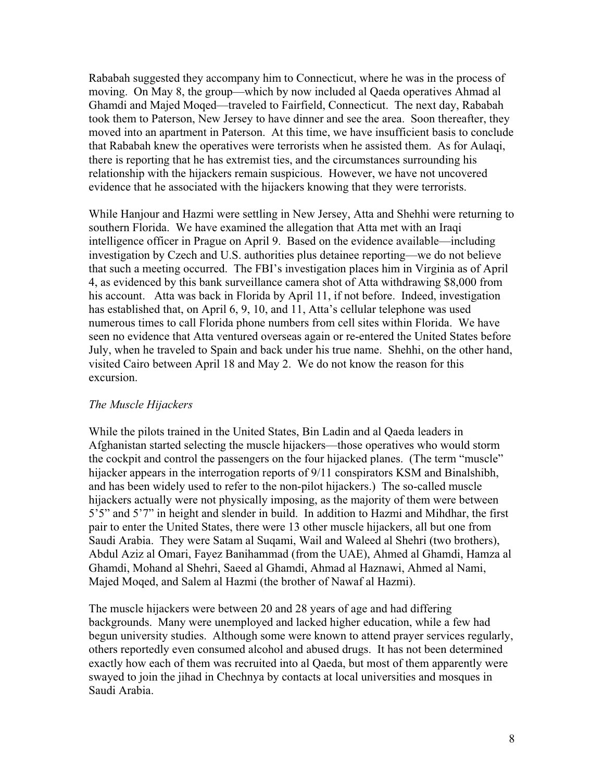Rababah suggested they accompany him to Connecticut, where he was in the process of moving. On May 8, the group—which by now included al Qaeda operatives Ahmad al Ghamdi and Majed Moqed—traveled to Fairfield, Connecticut. The next day, Rababah took them to Paterson, New Jersey to have dinner and see the area. Soon thereafter, they moved into an apartment in Paterson. At this time, we have insufficient basis to conclude that Rababah knew the operatives were terrorists when he assisted them. As for Aulaqi, there is reporting that he has extremist ties, and the circumstances surrounding his relationship with the hijackers remain suspicious. However, we have not uncovered evidence that he associated with the hijackers knowing that they were terrorists.

While Hanjour and Hazmi were settling in New Jersey, Atta and Shehhi were returning to southern Florida. We have examined the allegation that Atta met with an Iraqi intelligence officer in Prague on April 9. Based on the evidence available—including investigation by Czech and U.S. authorities plus detainee reporting—we do not believe that such a meeting occurred. The FBI's investigation places him in Virginia as of April 4, as evidenced by this bank surveillance camera shot of Atta withdrawing \$8,000 from his account. Atta was back in Florida by April 11, if not before. Indeed, investigation has established that, on April 6, 9, 10, and 11, Atta's cellular telephone was used numerous times to call Florida phone numbers from cell sites within Florida. We have seen no evidence that Atta ventured overseas again or re-entered the United States before July, when he traveled to Spain and back under his true name. Shehhi, on the other hand, visited Cairo between April 18 and May 2. We do not know the reason for this excursion.

### *The Muscle Hijackers*

While the pilots trained in the United States, Bin Ladin and al Qaeda leaders in Afghanistan started selecting the muscle hijackers—those operatives who would storm the cockpit and control the passengers on the four hijacked planes. (The term "muscle" hijacker appears in the interrogation reports of 9/11 conspirators KSM and Binalshibh, and has been widely used to refer to the non-pilot hijackers.) The so-called muscle hijackers actually were not physically imposing, as the majority of them were between 5'5" and 5'7" in height and slender in build. In addition to Hazmi and Mihdhar, the first pair to enter the United States, there were 13 other muscle hijackers, all but one from Saudi Arabia. They were Satam al Suqami, Wail and Waleed al Shehri (two brothers), Abdul Aziz al Omari, Fayez Banihammad (from the UAE), Ahmed al Ghamdi, Hamza al Ghamdi, Mohand al Shehri, Saeed al Ghamdi, Ahmad al Haznawi, Ahmed al Nami, Majed Moqed, and Salem al Hazmi (the brother of Nawaf al Hazmi).

The muscle hijackers were between 20 and 28 years of age and had differing backgrounds. Many were unemployed and lacked higher education, while a few had begun university studies. Although some were known to attend prayer services regularly, others reportedly even consumed alcohol and abused drugs. It has not been determined exactly how each of them was recruited into al Qaeda, but most of them apparently were swayed to join the jihad in Chechnya by contacts at local universities and mosques in Saudi Arabia.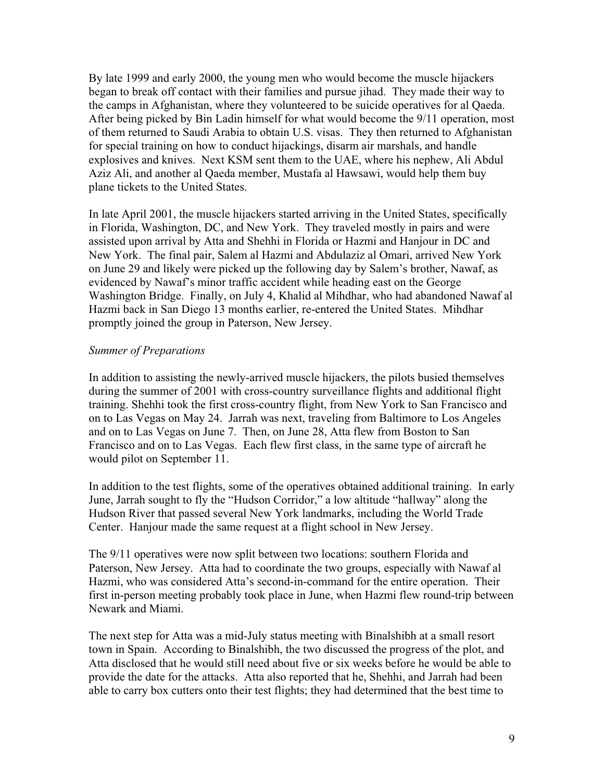By late 1999 and early 2000, the young men who would become the muscle hijackers began to break off contact with their families and pursue jihad. They made their way to the camps in Afghanistan, where they volunteered to be suicide operatives for al Qaeda. After being picked by Bin Ladin himself for what would become the 9/11 operation, most of them returned to Saudi Arabia to obtain U.S. visas. They then returned to Afghanistan for special training on how to conduct hijackings, disarm air marshals, and handle explosives and knives. Next KSM sent them to the UAE, where his nephew, Ali Abdul Aziz Ali, and another al Qaeda member, Mustafa al Hawsawi, would help them buy plane tickets to the United States.

In late April 2001, the muscle hijackers started arriving in the United States, specifically in Florida, Washington, DC, and New York. They traveled mostly in pairs and were assisted upon arrival by Atta and Shehhi in Florida or Hazmi and Hanjour in DC and New York. The final pair, Salem al Hazmi and Abdulaziz al Omari, arrived New York on June 29 and likely were picked up the following day by Salem's brother, Nawaf, as evidenced by Nawaf's minor traffic accident while heading east on the George Washington Bridge. Finally, on July 4, Khalid al Mihdhar, who had abandoned Nawaf al Hazmi back in San Diego 13 months earlier, re-entered the United States. Mihdhar promptly joined the group in Paterson, New Jersey.

### *Summer of Preparations*

In addition to assisting the newly-arrived muscle hijackers, the pilots busied themselves during the summer of 2001 with cross-country surveillance flights and additional flight training. Shehhi took the first cross-country flight, from New York to San Francisco and on to Las Vegas on May 24. Jarrah was next, traveling from Baltimore to Los Angeles and on to Las Vegas on June 7. Then, on June 28, Atta flew from Boston to San Francisco and on to Las Vegas. Each flew first class, in the same type of aircraft he would pilot on September 11.

In addition to the test flights, some of the operatives obtained additional training. In early June, Jarrah sought to fly the "Hudson Corridor," a low altitude "hallway" along the Hudson River that passed several New York landmarks, including the World Trade Center. Hanjour made the same request at a flight school in New Jersey.

The 9/11 operatives were now split between two locations: southern Florida and Paterson, New Jersey. Atta had to coordinate the two groups, especially with Nawaf al Hazmi, who was considered Atta's second-in-command for the entire operation. Their first in-person meeting probably took place in June, when Hazmi flew round-trip between Newark and Miami.

The next step for Atta was a mid-July status meeting with Binalshibh at a small resort town in Spain. According to Binalshibh, the two discussed the progress of the plot, and Atta disclosed that he would still need about five or six weeks before he would be able to provide the date for the attacks. Atta also reported that he, Shehhi, and Jarrah had been able to carry box cutters onto their test flights; they had determined that the best time to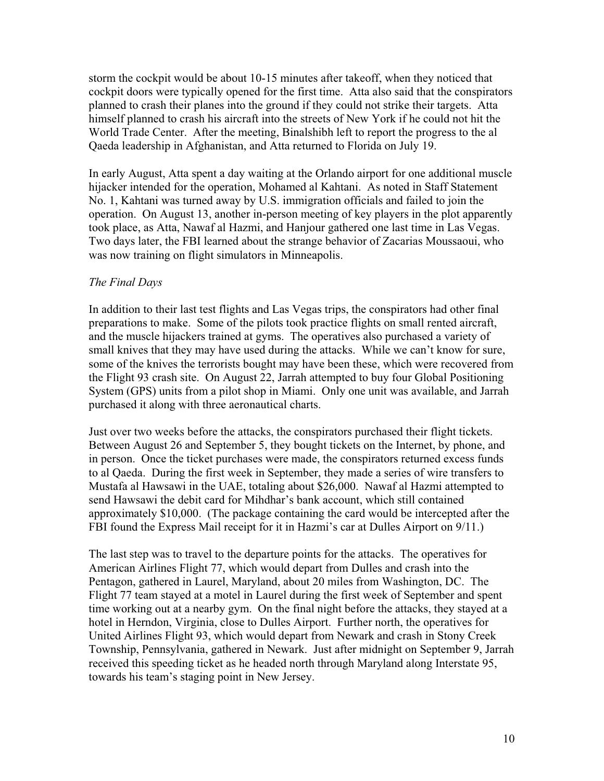storm the cockpit would be about 10-15 minutes after takeoff, when they noticed that cockpit doors were typically opened for the first time. Atta also said that the conspirators planned to crash their planes into the ground if they could not strike their targets. Atta himself planned to crash his aircraft into the streets of New York if he could not hit the World Trade Center. After the meeting, Binalshibh left to report the progress to the al Qaeda leadership in Afghanistan, and Atta returned to Florida on July 19.

In early August, Atta spent a day waiting at the Orlando airport for one additional muscle hijacker intended for the operation, Mohamed al Kahtani. As noted in Staff Statement No. 1, Kahtani was turned away by U.S. immigration officials and failed to join the operation. On August 13, another in-person meeting of key players in the plot apparently took place, as Atta, Nawaf al Hazmi, and Hanjour gathered one last time in Las Vegas. Two days later, the FBI learned about the strange behavior of Zacarias Moussaoui, who was now training on flight simulators in Minneapolis.

#### *The Final Days*

In addition to their last test flights and Las Vegas trips, the conspirators had other final preparations to make. Some of the pilots took practice flights on small rented aircraft, and the muscle hijackers trained at gyms. The operatives also purchased a variety of small knives that they may have used during the attacks. While we can't know for sure, some of the knives the terrorists bought may have been these, which were recovered from the Flight 93 crash site. On August 22, Jarrah attempted to buy four Global Positioning System (GPS) units from a pilot shop in Miami. Only one unit was available, and Jarrah purchased it along with three aeronautical charts.

Just over two weeks before the attacks, the conspirators purchased their flight tickets. Between August 26 and September 5, they bought tickets on the Internet, by phone, and in person. Once the ticket purchases were made, the conspirators returned excess funds to al Qaeda. During the first week in September, they made a series of wire transfers to Mustafa al Hawsawi in the UAE, totaling about \$26,000. Nawaf al Hazmi attempted to send Hawsawi the debit card for Mihdhar's bank account, which still contained approximately \$10,000. (The package containing the card would be intercepted after the FBI found the Express Mail receipt for it in Hazmi's car at Dulles Airport on 9/11.)

The last step was to travel to the departure points for the attacks. The operatives for American Airlines Flight 77, which would depart from Dulles and crash into the Pentagon, gathered in Laurel, Maryland, about 20 miles from Washington, DC. The Flight 77 team stayed at a motel in Laurel during the first week of September and spent time working out at a nearby gym. On the final night before the attacks, they stayed at a hotel in Herndon, Virginia, close to Dulles Airport. Further north, the operatives for United Airlines Flight 93, which would depart from Newark and crash in Stony Creek Township, Pennsylvania, gathered in Newark. Just after midnight on September 9, Jarrah received this speeding ticket as he headed north through Maryland along Interstate 95, towards his team's staging point in New Jersey.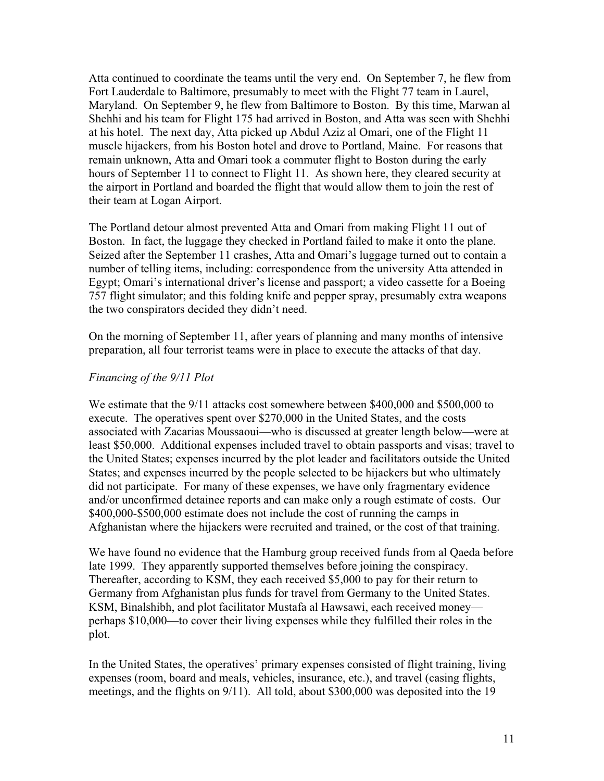Atta continued to coordinate the teams until the very end. On September 7, he flew from Fort Lauderdale to Baltimore, presumably to meet with the Flight 77 team in Laurel, Maryland. On September 9, he flew from Baltimore to Boston. By this time, Marwan al Shehhi and his team for Flight 175 had arrived in Boston, and Atta was seen with Shehhi at his hotel. The next day, Atta picked up Abdul Aziz al Omari, one of the Flight 11 muscle hijackers, from his Boston hotel and drove to Portland, Maine. For reasons that remain unknown, Atta and Omari took a commuter flight to Boston during the early hours of September 11 to connect to Flight 11. As shown here, they cleared security at the airport in Portland and boarded the flight that would allow them to join the rest of their team at Logan Airport.

The Portland detour almost prevented Atta and Omari from making Flight 11 out of Boston. In fact, the luggage they checked in Portland failed to make it onto the plane. Seized after the September 11 crashes, Atta and Omari's luggage turned out to contain a number of telling items, including: correspondence from the university Atta attended in Egypt; Omari's international driver's license and passport; a video cassette for a Boeing 757 flight simulator; and this folding knife and pepper spray, presumably extra weapons the two conspirators decided they didn't need.

On the morning of September 11, after years of planning and many months of intensive preparation, all four terrorist teams were in place to execute the attacks of that day.

### *Financing of the 9/11 Plot*

We estimate that the  $9/11$  attacks cost somewhere between \$400,000 and \$500,000 to execute. The operatives spent over \$270,000 in the United States, and the costs associated with Zacarias Moussaoui—who is discussed at greater length below—were at least \$50,000. Additional expenses included travel to obtain passports and visas; travel to the United States; expenses incurred by the plot leader and facilitators outside the United States; and expenses incurred by the people selected to be hijackers but who ultimately did not participate. For many of these expenses, we have only fragmentary evidence and/or unconfirmed detainee reports and can make only a rough estimate of costs. Our \$400,000-\$500,000 estimate does not include the cost of running the camps in Afghanistan where the hijackers were recruited and trained, or the cost of that training.

We have found no evidence that the Hamburg group received funds from al Qaeda before late 1999. They apparently supported themselves before joining the conspiracy. Thereafter, according to KSM, they each received \$5,000 to pay for their return to Germany from Afghanistan plus funds for travel from Germany to the United States. KSM, Binalshibh, and plot facilitator Mustafa al Hawsawi, each received money perhaps \$10,000—to cover their living expenses while they fulfilled their roles in the plot.

In the United States, the operatives' primary expenses consisted of flight training, living expenses (room, board and meals, vehicles, insurance, etc.), and travel (casing flights, meetings, and the flights on 9/11). All told, about \$300,000 was deposited into the 19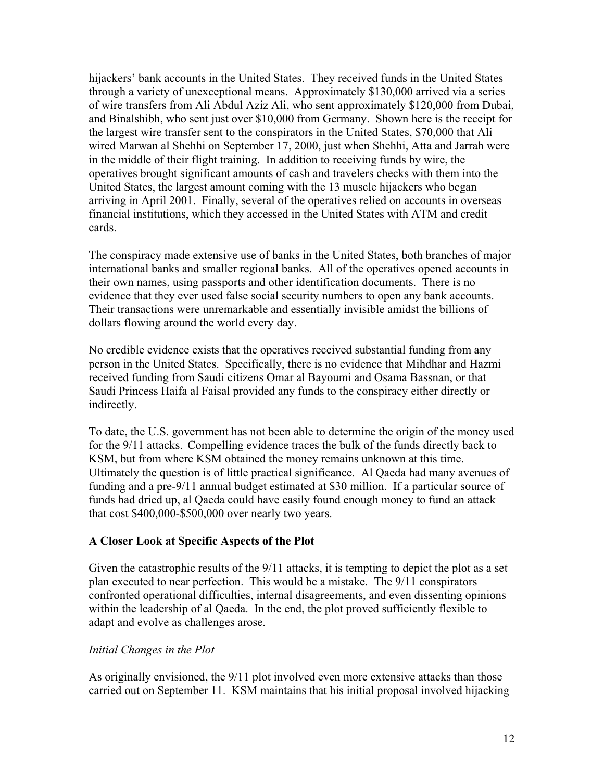hijackers' bank accounts in the United States. They received funds in the United States through a variety of unexceptional means. Approximately \$130,000 arrived via a series of wire transfers from Ali Abdul Aziz Ali, who sent approximately \$120,000 from Dubai, and Binalshibh, who sent just over \$10,000 from Germany. Shown here is the receipt for the largest wire transfer sent to the conspirators in the United States, \$70,000 that Ali wired Marwan al Shehhi on September 17, 2000, just when Shehhi, Atta and Jarrah were in the middle of their flight training. In addition to receiving funds by wire, the operatives brought significant amounts of cash and travelers checks with them into the United States, the largest amount coming with the 13 muscle hijackers who began arriving in April 2001. Finally, several of the operatives relied on accounts in overseas financial institutions, which they accessed in the United States with ATM and credit cards.

The conspiracy made extensive use of banks in the United States, both branches of major international banks and smaller regional banks. All of the operatives opened accounts in their own names, using passports and other identification documents. There is no evidence that they ever used false social security numbers to open any bank accounts. Their transactions were unremarkable and essentially invisible amidst the billions of dollars flowing around the world every day.

No credible evidence exists that the operatives received substantial funding from any person in the United States. Specifically, there is no evidence that Mihdhar and Hazmi received funding from Saudi citizens Omar al Bayoumi and Osama Bassnan, or that Saudi Princess Haifa al Faisal provided any funds to the conspiracy either directly or indirectly.

To date, the U.S. government has not been able to determine the origin of the money used for the 9/11 attacks. Compelling evidence traces the bulk of the funds directly back to KSM, but from where KSM obtained the money remains unknown at this time. Ultimately the question is of little practical significance. Al Qaeda had many avenues of funding and a pre-9/11 annual budget estimated at \$30 million. If a particular source of funds had dried up, al Qaeda could have easily found enough money to fund an attack that cost \$400,000-\$500,000 over nearly two years.

# **A Closer Look at Specific Aspects of the Plot**

Given the catastrophic results of the 9/11 attacks, it is tempting to depict the plot as a set plan executed to near perfection. This would be a mistake. The 9/11 conspirators confronted operational difficulties, internal disagreements, and even dissenting opinions within the leadership of al Qaeda. In the end, the plot proved sufficiently flexible to adapt and evolve as challenges arose.

### *Initial Changes in the Plot*

As originally envisioned, the 9/11 plot involved even more extensive attacks than those carried out on September 11. KSM maintains that his initial proposal involved hijacking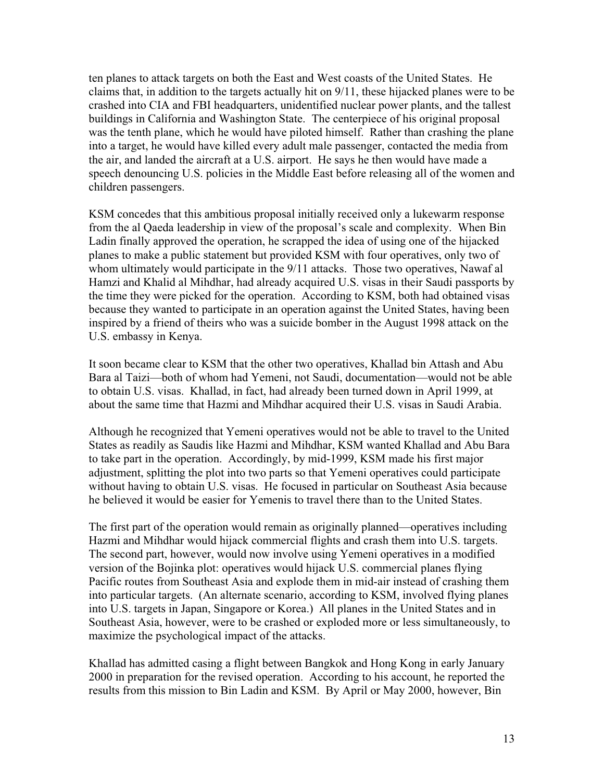ten planes to attack targets on both the East and West coasts of the United States. He claims that, in addition to the targets actually hit on 9/11, these hijacked planes were to be crashed into CIA and FBI headquarters, unidentified nuclear power plants, and the tallest buildings in California and Washington State. The centerpiece of his original proposal was the tenth plane, which he would have piloted himself. Rather than crashing the plane into a target, he would have killed every adult male passenger, contacted the media from the air, and landed the aircraft at a U.S. airport. He says he then would have made a speech denouncing U.S. policies in the Middle East before releasing all of the women and children passengers.

KSM concedes that this ambitious proposal initially received only a lukewarm response from the al Qaeda leadership in view of the proposal's scale and complexity. When Bin Ladin finally approved the operation, he scrapped the idea of using one of the hijacked planes to make a public statement but provided KSM with four operatives, only two of whom ultimately would participate in the 9/11 attacks. Those two operatives, Nawaf al Hamzi and Khalid al Mihdhar, had already acquired U.S. visas in their Saudi passports by the time they were picked for the operation. According to KSM, both had obtained visas because they wanted to participate in an operation against the United States, having been inspired by a friend of theirs who was a suicide bomber in the August 1998 attack on the U.S. embassy in Kenya.

It soon became clear to KSM that the other two operatives, Khallad bin Attash and Abu Bara al Taizi—both of whom had Yemeni, not Saudi, documentation—would not be able to obtain U.S. visas. Khallad, in fact, had already been turned down in April 1999, at about the same time that Hazmi and Mihdhar acquired their U.S. visas in Saudi Arabia.

Although he recognized that Yemeni operatives would not be able to travel to the United States as readily as Saudis like Hazmi and Mihdhar, KSM wanted Khallad and Abu Bara to take part in the operation. Accordingly, by mid-1999, KSM made his first major adjustment, splitting the plot into two parts so that Yemeni operatives could participate without having to obtain U.S. visas. He focused in particular on Southeast Asia because he believed it would be easier for Yemenis to travel there than to the United States.

The first part of the operation would remain as originally planned—operatives including Hazmi and Mihdhar would hijack commercial flights and crash them into U.S. targets. The second part, however, would now involve using Yemeni operatives in a modified version of the Bojinka plot: operatives would hijack U.S. commercial planes flying Pacific routes from Southeast Asia and explode them in mid-air instead of crashing them into particular targets. (An alternate scenario, according to KSM, involved flying planes into U.S. targets in Japan, Singapore or Korea.) All planes in the United States and in Southeast Asia, however, were to be crashed or exploded more or less simultaneously, to maximize the psychological impact of the attacks.

Khallad has admitted casing a flight between Bangkok and Hong Kong in early January 2000 in preparation for the revised operation. According to his account, he reported the results from this mission to Bin Ladin and KSM. By April or May 2000, however, Bin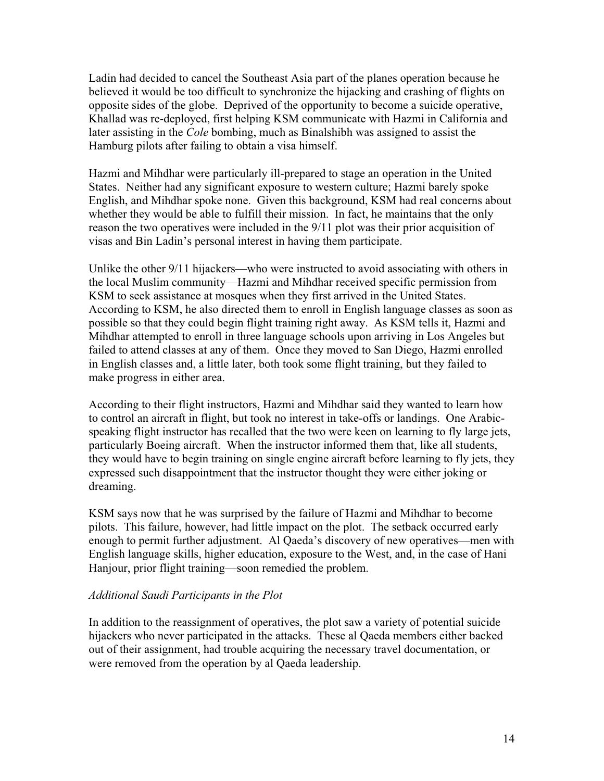Ladin had decided to cancel the Southeast Asia part of the planes operation because he believed it would be too difficult to synchronize the hijacking and crashing of flights on opposite sides of the globe. Deprived of the opportunity to become a suicide operative, Khallad was re-deployed, first helping KSM communicate with Hazmi in California and later assisting in the *Cole* bombing, much as Binalshibh was assigned to assist the Hamburg pilots after failing to obtain a visa himself.

Hazmi and Mihdhar were particularly ill-prepared to stage an operation in the United States. Neither had any significant exposure to western culture; Hazmi barely spoke English, and Mihdhar spoke none. Given this background, KSM had real concerns about whether they would be able to fulfill their mission. In fact, he maintains that the only reason the two operatives were included in the 9/11 plot was their prior acquisition of visas and Bin Ladin's personal interest in having them participate.

Unlike the other 9/11 hijackers—who were instructed to avoid associating with others in the local Muslim community—Hazmi and Mihdhar received specific permission from KSM to seek assistance at mosques when they first arrived in the United States. According to KSM, he also directed them to enroll in English language classes as soon as possible so that they could begin flight training right away. As KSM tells it, Hazmi and Mihdhar attempted to enroll in three language schools upon arriving in Los Angeles but failed to attend classes at any of them. Once they moved to San Diego, Hazmi enrolled in English classes and, a little later, both took some flight training, but they failed to make progress in either area.

According to their flight instructors, Hazmi and Mihdhar said they wanted to learn how to control an aircraft in flight, but took no interest in take-offs or landings. One Arabicspeaking flight instructor has recalled that the two were keen on learning to fly large jets, particularly Boeing aircraft. When the instructor informed them that, like all students, they would have to begin training on single engine aircraft before learning to fly jets, they expressed such disappointment that the instructor thought they were either joking or dreaming.

KSM says now that he was surprised by the failure of Hazmi and Mihdhar to become pilots. This failure, however, had little impact on the plot. The setback occurred early enough to permit further adjustment. Al Qaeda's discovery of new operatives—men with English language skills, higher education, exposure to the West, and, in the case of Hani Hanjour, prior flight training—soon remedied the problem.

#### *Additional Saudi Participants in the Plot*

In addition to the reassignment of operatives, the plot saw a variety of potential suicide hijackers who never participated in the attacks. These al Qaeda members either backed out of their assignment, had trouble acquiring the necessary travel documentation, or were removed from the operation by al Qaeda leadership.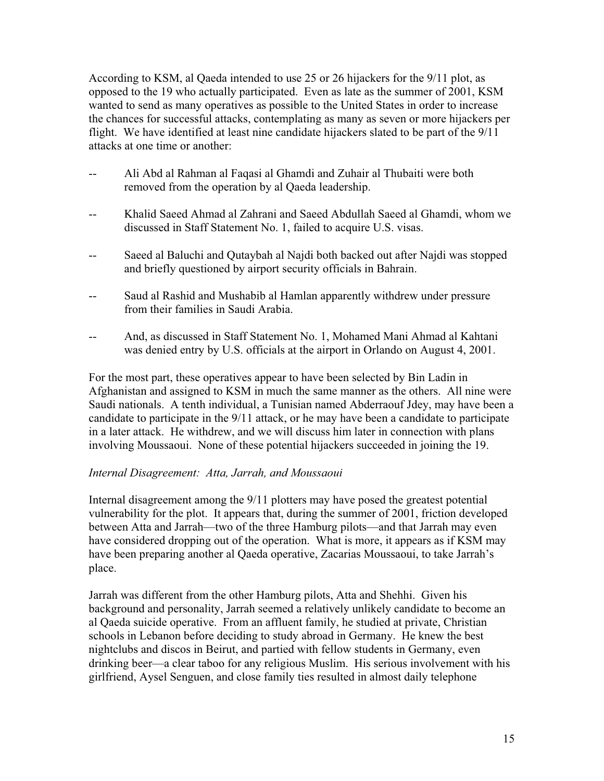According to KSM, al Qaeda intended to use 25 or 26 hijackers for the 9/11 plot, as opposed to the 19 who actually participated. Even as late as the summer of 2001, KSM wanted to send as many operatives as possible to the United States in order to increase the chances for successful attacks, contemplating as many as seven or more hijackers per flight. We have identified at least nine candidate hijackers slated to be part of the 9/11 attacks at one time or another:

- -- Ali Abd al Rahman al Faqasi al Ghamdi and Zuhair al Thubaiti were both removed from the operation by al Qaeda leadership.
- -- Khalid Saeed Ahmad al Zahrani and Saeed Abdullah Saeed al Ghamdi, whom we discussed in Staff Statement No. 1, failed to acquire U.S. visas.
- -- Saeed al Baluchi and Qutaybah al Najdi both backed out after Najdi was stopped and briefly questioned by airport security officials in Bahrain.
- -- Saud al Rashid and Mushabib al Hamlan apparently withdrew under pressure from their families in Saudi Arabia.
- -- And, as discussed in Staff Statement No. 1, Mohamed Mani Ahmad al Kahtani was denied entry by U.S. officials at the airport in Orlando on August 4, 2001.

For the most part, these operatives appear to have been selected by Bin Ladin in Afghanistan and assigned to KSM in much the same manner as the others. All nine were Saudi nationals. A tenth individual, a Tunisian named Abderraouf Jdey, may have been a candidate to participate in the 9/11 attack, or he may have been a candidate to participate in a later attack. He withdrew, and we will discuss him later in connection with plans involving Moussaoui. None of these potential hijackers succeeded in joining the 19.

# *Internal Disagreement: Atta, Jarrah, and Moussaoui*

Internal disagreement among the 9/11 plotters may have posed the greatest potential vulnerability for the plot. It appears that, during the summer of 2001, friction developed between Atta and Jarrah—two of the three Hamburg pilots—and that Jarrah may even have considered dropping out of the operation. What is more, it appears as if KSM may have been preparing another al Qaeda operative, Zacarias Moussaoui, to take Jarrah's place.

Jarrah was different from the other Hamburg pilots, Atta and Shehhi. Given his background and personality, Jarrah seemed a relatively unlikely candidate to become an al Qaeda suicide operative. From an affluent family, he studied at private, Christian schools in Lebanon before deciding to study abroad in Germany. He knew the best nightclubs and discos in Beirut, and partied with fellow students in Germany, even drinking beer—a clear taboo for any religious Muslim. His serious involvement with his girlfriend, Aysel Senguen, and close family ties resulted in almost daily telephone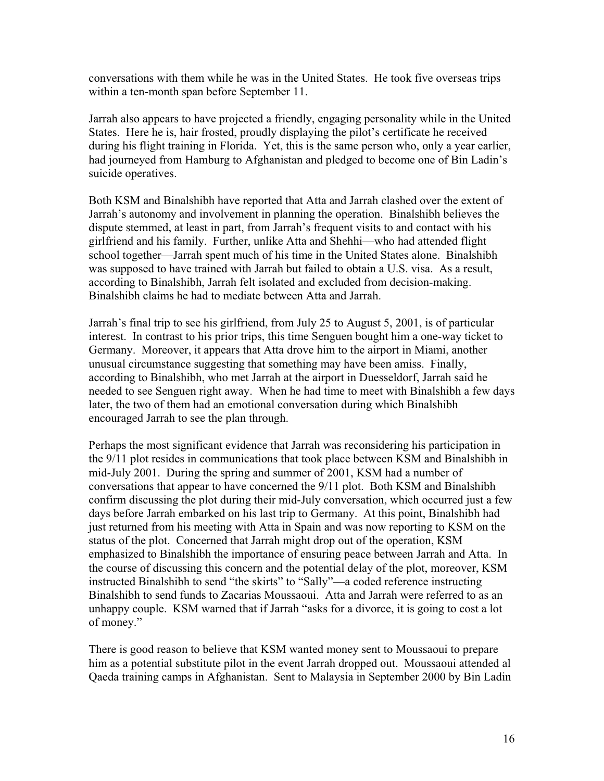conversations with them while he was in the United States. He took five overseas trips within a ten-month span before September 11.

Jarrah also appears to have projected a friendly, engaging personality while in the United States. Here he is, hair frosted, proudly displaying the pilot's certificate he received during his flight training in Florida. Yet, this is the same person who, only a year earlier, had journeyed from Hamburg to Afghanistan and pledged to become one of Bin Ladin's suicide operatives.

Both KSM and Binalshibh have reported that Atta and Jarrah clashed over the extent of Jarrah's autonomy and involvement in planning the operation. Binalshibh believes the dispute stemmed, at least in part, from Jarrah's frequent visits to and contact with his girlfriend and his family. Further, unlike Atta and Shehhi—who had attended flight school together—Jarrah spent much of his time in the United States alone. Binalshibh was supposed to have trained with Jarrah but failed to obtain a U.S. visa. As a result, according to Binalshibh, Jarrah felt isolated and excluded from decision-making. Binalshibh claims he had to mediate between Atta and Jarrah.

Jarrah's final trip to see his girlfriend, from July 25 to August 5, 2001, is of particular interest. In contrast to his prior trips, this time Senguen bought him a one-way ticket to Germany. Moreover, it appears that Atta drove him to the airport in Miami, another unusual circumstance suggesting that something may have been amiss. Finally, according to Binalshibh, who met Jarrah at the airport in Duesseldorf, Jarrah said he needed to see Senguen right away. When he had time to meet with Binalshibh a few days later, the two of them had an emotional conversation during which Binalshibh encouraged Jarrah to see the plan through.

Perhaps the most significant evidence that Jarrah was reconsidering his participation in the 9/11 plot resides in communications that took place between KSM and Binalshibh in mid-July 2001. During the spring and summer of 2001, KSM had a number of conversations that appear to have concerned the 9/11 plot. Both KSM and Binalshibh confirm discussing the plot during their mid-July conversation, which occurred just a few days before Jarrah embarked on his last trip to Germany. At this point, Binalshibh had just returned from his meeting with Atta in Spain and was now reporting to KSM on the status of the plot. Concerned that Jarrah might drop out of the operation, KSM emphasized to Binalshibh the importance of ensuring peace between Jarrah and Atta. In the course of discussing this concern and the potential delay of the plot, moreover, KSM instructed Binalshibh to send "the skirts" to "Sally"—a coded reference instructing Binalshibh to send funds to Zacarias Moussaoui. Atta and Jarrah were referred to as an unhappy couple. KSM warned that if Jarrah "asks for a divorce, it is going to cost a lot of money."

There is good reason to believe that KSM wanted money sent to Moussaoui to prepare him as a potential substitute pilot in the event Jarrah dropped out. Moussaoui attended al Qaeda training camps in Afghanistan. Sent to Malaysia in September 2000 by Bin Ladin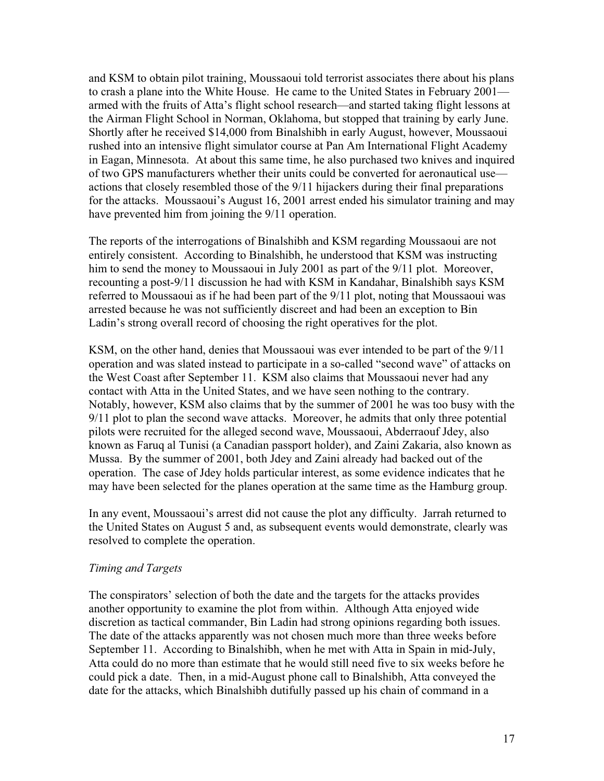and KSM to obtain pilot training, Moussaoui told terrorist associates there about his plans to crash a plane into the White House. He came to the United States in February 2001 armed with the fruits of Atta's flight school research—and started taking flight lessons at the Airman Flight School in Norman, Oklahoma, but stopped that training by early June. Shortly after he received \$14,000 from Binalshibh in early August, however, Moussaoui rushed into an intensive flight simulator course at Pan Am International Flight Academy in Eagan, Minnesota. At about this same time, he also purchased two knives and inquired of two GPS manufacturers whether their units could be converted for aeronautical use actions that closely resembled those of the 9/11 hijackers during their final preparations for the attacks. Moussaoui's August 16, 2001 arrest ended his simulator training and may have prevented him from joining the 9/11 operation.

The reports of the interrogations of Binalshibh and KSM regarding Moussaoui are not entirely consistent. According to Binalshibh, he understood that KSM was instructing him to send the money to Moussaoui in July 2001 as part of the 9/11 plot. Moreover, recounting a post-9/11 discussion he had with KSM in Kandahar, Binalshibh says KSM referred to Moussaoui as if he had been part of the 9/11 plot, noting that Moussaoui was arrested because he was not sufficiently discreet and had been an exception to Bin Ladin's strong overall record of choosing the right operatives for the plot.

KSM, on the other hand, denies that Moussaoui was ever intended to be part of the 9/11 operation and was slated instead to participate in a so-called "second wave" of attacks on the West Coast after September 11. KSM also claims that Moussaoui never had any contact with Atta in the United States, and we have seen nothing to the contrary. Notably, however, KSM also claims that by the summer of 2001 he was too busy with the 9/11 plot to plan the second wave attacks. Moreover, he admits that only three potential pilots were recruited for the alleged second wave, Moussaoui, Abderraouf Jdey, also known as Faruq al Tunisi (a Canadian passport holder), and Zaini Zakaria, also known as Mussa. By the summer of 2001, both Jdey and Zaini already had backed out of the operation. The case of Jdey holds particular interest, as some evidence indicates that he may have been selected for the planes operation at the same time as the Hamburg group.

In any event, Moussaoui's arrest did not cause the plot any difficulty. Jarrah returned to the United States on August 5 and, as subsequent events would demonstrate, clearly was resolved to complete the operation.

### *Timing and Targets*

The conspirators' selection of both the date and the targets for the attacks provides another opportunity to examine the plot from within. Although Atta enjoyed wide discretion as tactical commander, Bin Ladin had strong opinions regarding both issues. The date of the attacks apparently was not chosen much more than three weeks before September 11. According to Binalshibh, when he met with Atta in Spain in mid-July, Atta could do no more than estimate that he would still need five to six weeks before he could pick a date. Then, in a mid-August phone call to Binalshibh, Atta conveyed the date for the attacks, which Binalshibh dutifully passed up his chain of command in a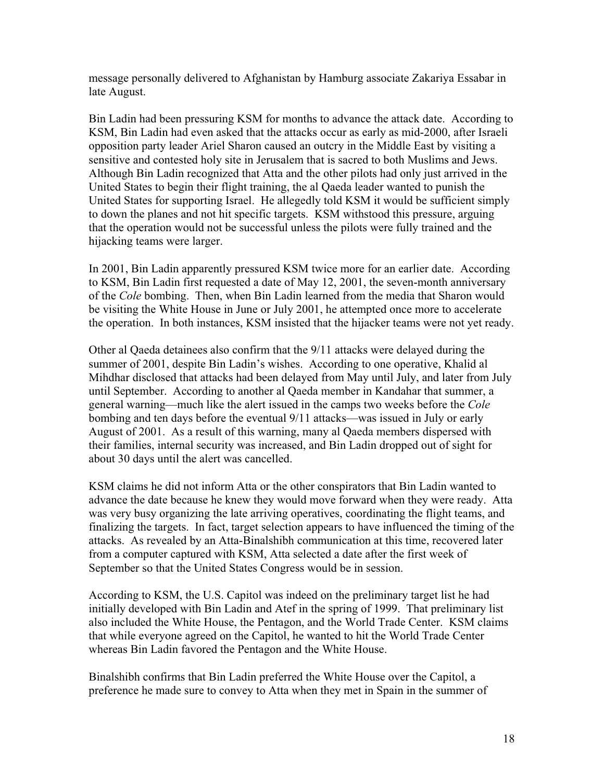message personally delivered to Afghanistan by Hamburg associate Zakariya Essabar in late August.

Bin Ladin had been pressuring KSM for months to advance the attack date. According to KSM, Bin Ladin had even asked that the attacks occur as early as mid-2000, after Israeli opposition party leader Ariel Sharon caused an outcry in the Middle East by visiting a sensitive and contested holy site in Jerusalem that is sacred to both Muslims and Jews. Although Bin Ladin recognized that Atta and the other pilots had only just arrived in the United States to begin their flight training, the al Qaeda leader wanted to punish the United States for supporting Israel. He allegedly told KSM it would be sufficient simply to down the planes and not hit specific targets. KSM withstood this pressure, arguing that the operation would not be successful unless the pilots were fully trained and the hijacking teams were larger.

In 2001, Bin Ladin apparently pressured KSM twice more for an earlier date. According to KSM, Bin Ladin first requested a date of May 12, 2001, the seven-month anniversary of the *Cole* bombing. Then, when Bin Ladin learned from the media that Sharon would be visiting the White House in June or July 2001, he attempted once more to accelerate the operation. In both instances, KSM insisted that the hijacker teams were not yet ready.

Other al Qaeda detainees also confirm that the 9/11 attacks were delayed during the summer of 2001, despite Bin Ladin's wishes. According to one operative, Khalid al Mihdhar disclosed that attacks had been delayed from May until July, and later from July until September. According to another al Qaeda member in Kandahar that summer, a general warning—much like the alert issued in the camps two weeks before the *Cole* bombing and ten days before the eventual 9/11 attacks—was issued in July or early August of 2001. As a result of this warning, many al Qaeda members dispersed with their families, internal security was increased, and Bin Ladin dropped out of sight for about 30 days until the alert was cancelled.

KSM claims he did not inform Atta or the other conspirators that Bin Ladin wanted to advance the date because he knew they would move forward when they were ready. Atta was very busy organizing the late arriving operatives, coordinating the flight teams, and finalizing the targets. In fact, target selection appears to have influenced the timing of the attacks. As revealed by an Atta-Binalshibh communication at this time, recovered later from a computer captured with KSM, Atta selected a date after the first week of September so that the United States Congress would be in session.

According to KSM, the U.S. Capitol was indeed on the preliminary target list he had initially developed with Bin Ladin and Atef in the spring of 1999. That preliminary list also included the White House, the Pentagon, and the World Trade Center. KSM claims that while everyone agreed on the Capitol, he wanted to hit the World Trade Center whereas Bin Ladin favored the Pentagon and the White House.

Binalshibh confirms that Bin Ladin preferred the White House over the Capitol, a preference he made sure to convey to Atta when they met in Spain in the summer of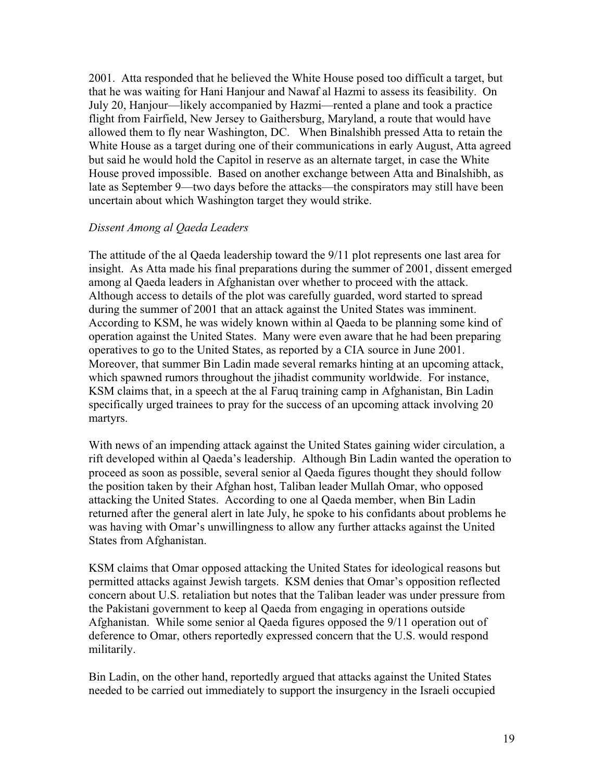2001. Atta responded that he believed the White House posed too difficult a target, but that he was waiting for Hani Hanjour and Nawaf al Hazmi to assess its feasibility. On July 20, Hanjour—likely accompanied by Hazmi—rented a plane and took a practice flight from Fairfield, New Jersey to Gaithersburg, Maryland, a route that would have allowed them to fly near Washington, DC. When Binalshibh pressed Atta to retain the White House as a target during one of their communications in early August, Atta agreed but said he would hold the Capitol in reserve as an alternate target, in case the White House proved impossible. Based on another exchange between Atta and Binalshibh, as late as September 9—two days before the attacks—the conspirators may still have been uncertain about which Washington target they would strike.

#### *Dissent Among al Qaeda Leaders*

The attitude of the al Qaeda leadership toward the 9/11 plot represents one last area for insight. As Atta made his final preparations during the summer of 2001, dissent emerged among al Qaeda leaders in Afghanistan over whether to proceed with the attack. Although access to details of the plot was carefully guarded, word started to spread during the summer of 2001 that an attack against the United States was imminent. According to KSM, he was widely known within al Qaeda to be planning some kind of operation against the United States. Many were even aware that he had been preparing operatives to go to the United States, as reported by a CIA source in June 2001. Moreover, that summer Bin Ladin made several remarks hinting at an upcoming attack, which spawned rumors throughout the jihadist community worldwide. For instance, KSM claims that, in a speech at the al Faruq training camp in Afghanistan, Bin Ladin specifically urged trainees to pray for the success of an upcoming attack involving 20 martyrs.

With news of an impending attack against the United States gaining wider circulation, a rift developed within al Qaeda's leadership. Although Bin Ladin wanted the operation to proceed as soon as possible, several senior al Qaeda figures thought they should follow the position taken by their Afghan host, Taliban leader Mullah Omar, who opposed attacking the United States. According to one al Qaeda member, when Bin Ladin returned after the general alert in late July, he spoke to his confidants about problems he was having with Omar's unwillingness to allow any further attacks against the United States from Afghanistan.

KSM claims that Omar opposed attacking the United States for ideological reasons but permitted attacks against Jewish targets. KSM denies that Omar's opposition reflected concern about U.S. retaliation but notes that the Taliban leader was under pressure from the Pakistani government to keep al Qaeda from engaging in operations outside Afghanistan. While some senior al Qaeda figures opposed the 9/11 operation out of deference to Omar, others reportedly expressed concern that the U.S. would respond militarily.

Bin Ladin, on the other hand, reportedly argued that attacks against the United States needed to be carried out immediately to support the insurgency in the Israeli occupied